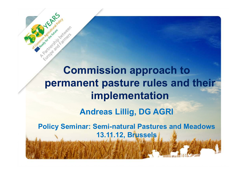**Commission approach to permanent pasture rules and their implementation** 

**Andreas Lillig, DG AGRI**

**Policy Seminar: Semi-natural Pastures and Meadows13.11.12, Brussels**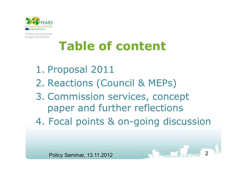

# **Table of content**

1. Proposal 2011 2. Reactions (Council & MEPs) 3. Commission services, concept paper and further reflections4. Focal points & on-going discussion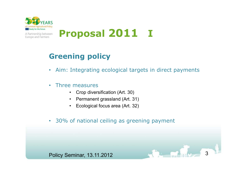

Europe and Farmers

**Proposal 2011 <sup>I</sup>** A Partnership between

## **Greening policy**

- Aim: Integrating ecological targets in direct payments
- • Three measures
	- Crop diversification (Art. 30)
	- Permanent grassland (Art. 31)
	- $\bullet$ Ecological focus area (Art. 32)
- 30% of national ceiling as greening payment

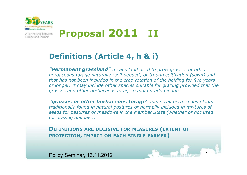

Europe and Farmers

### **Proposal 2011 II** A Partnership between

## **Definitions (Article 4, h & i)**

*"Permanent grassland" means land used to grow grasses or other herbaceous forage naturally (self-seeded) or trough cultivation (sown) and that has not been included in the crop rotation of the holding for five years or longer; it may include other species suitable for grazing provided that the grasses and other herbaceous forage remain predominant;*

*"grasses or other herbaceous forage" means all herbaceous plants traditionally found in natural pastures or normally included in mixtures of seeds for pastures or meadows in the Member State (whether or not used for grazing animals);*

**<sup>D</sup>EFINITIONS ARE DECISIVE FOR MEASURES (EXTENT OF PROTECTION, IMPACT ON EACH SINGLE FARMER)**

Policy Seminar, 13.11.20122 4 4 5 6 7 8 9 10 10 12 14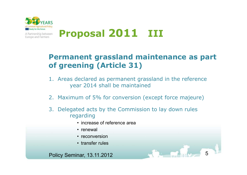

Europe and Farmers

#### **Proposal 2011 III** A Partnership between

## **Permanent grassland maintenance as part of greening (Article 31)**

- 1. Areas declared as permanent grassland in the reference year 2014 shall be maintained
- 2. Maximum of 5% for conversion (except force majeure)

5

- 3. Delegated acts by the Commission to lay down rules regarding
	- increase of reference area
	- renewal
	- reconversion
	- transfer rules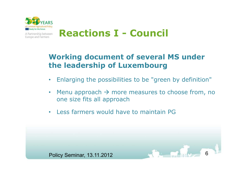

## **Reactions I - Council**

## **Working document of several MS under the leadership of Luxembourg**

- $\bullet$ Enlarging the possibilities to be "green by definition"
- •• Menu approach  $\rightarrow$  more measures to choose from, no<br>one size fits all approach one size fits all approach
- Less farmers would have to maintain PG

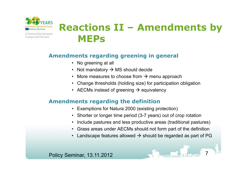

## **Reactions II – Amendments by MEPs**

#### **Amendments regarding greening in general**

- No greening at all
- Not mandatory  $\rightarrow$  MS should decide
- More measures to choose from  $\rightarrow$  menu approach<br>Change threakable (habitan aire) for nortiaination of
- Change thresholds (holding size) for participation obligation
- AECMs instead of greening  $\rightarrow$  equivalency

#### **Amendments regarding the definition**

- Exemptions for Natura 2000 (existing protection)
- Shorter or longer time period (3-7 years) out of crop rotation
- •Include pastures and less productive areas (traditional pastures)
- Grass areas under AECMs should not form part of the definition
- Landscape features allowed  $\rightarrow$  should be regarded as part of PG

7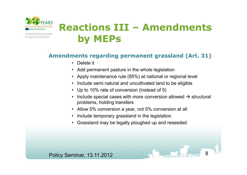

## **Reactions III – Amendments by MEPs**

#### **Amendments regarding permanent grassland (Art. 31)**

- Delete it
- Add permanent pasture in the whole legislation
- Apply maintenance rule (95%) at national or regional level
- Include semi natural and uncultivated land to be eligible
- Up to 10% rate of conversion (instead of 5)
- Include special cases with more conversion allowed  $\rightarrow$  structural nroblems, bolding transfers problems, holding transfers

8

- Allow 5% conversion a year, not 5% conversion at all
- Include temporary grassland in the legislation
- Grassland may be legally ploughed up and reseeded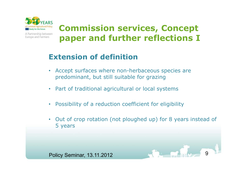

## **Commission services, Concept paper and further reflections I**

## **Extension of definition**

- Accept surfaces where non-herbaceous species are predominant, but still suitable for grazing
- Part of traditional agricultural or local systems
- Possibility of a reduction coefficient for eligibility
- Out of crop rotation (not ploughed up) for 8 years instead of 5 years

9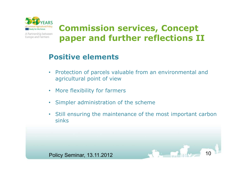

## **Commission services, Concept paper and further reflections II**

## **Positive elements**

- • Protection of parcels valuable from an environmental and agricultural point of view
- •More flexibility for farmers
- •Simpler administration of the scheme
- Still ensuring the maintenance of the most important carbon sinks

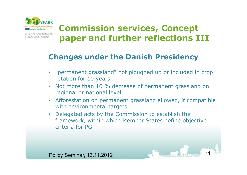

## **Commission services, Concept paper and further reflections III**

## **Changes under the Danish Presidency**

- "permanent grassland" not ploughed up or included in crop rotation for 10 years
- Not more than 10 % decrease of permanent grassland on regional or national level
- Afforestation on permanent grassland allowed, if compatible with environmental targets
- • Delegated acts by the Commission to establish the framework, within which Member States define objective criteria for PG

Policy Seminar, 13.11.20122 3 4 4 5 10 11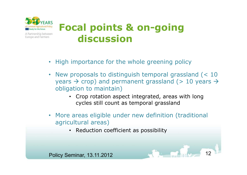

## **Focal points & on-going discussion**

- High importance for the whole greening policy
- New proposals to distinguish temporal grassland (< 10 years  $\rightarrow$  crop) and permanent grassland (> 10 years  $\rightarrow$  obligation to maintain) obligation to maintain)
	- Crop rotation aspect integrated, areas with long cycles still count as temporal grassland
- More areas eligible under new definition (traditional agricultural areas)
	- Reduction coefficient as possibility

Policy Seminar, 13.11.20122 12